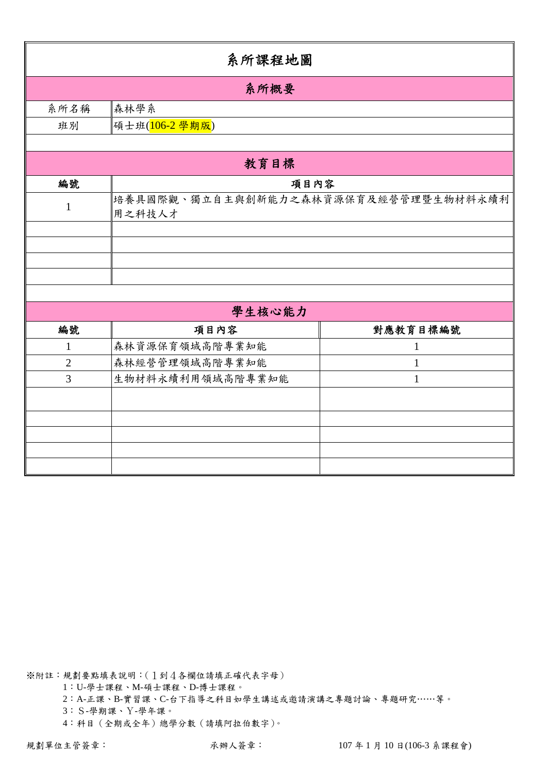|                   | 系所課程地圖                                         |                   |  |  |  |  |  |  |  |
|-------------------|------------------------------------------------|-------------------|--|--|--|--|--|--|--|
|                   | 系所概要                                           |                   |  |  |  |  |  |  |  |
| 系所名稱              | 森林學系                                           |                   |  |  |  |  |  |  |  |
| 班別                | 碩士班( <mark>106-2 學期版</mark> )                  |                   |  |  |  |  |  |  |  |
|                   |                                                |                   |  |  |  |  |  |  |  |
|                   | 教育目標                                           |                   |  |  |  |  |  |  |  |
| 編號                | 項目內容                                           |                   |  |  |  |  |  |  |  |
| $\mathbf{1}$      | 培養具國際觀、獨立自主與創新能力之森林資源保育及經營管理暨生物材料永續利<br>用之科技人才 |                   |  |  |  |  |  |  |  |
|                   |                                                |                   |  |  |  |  |  |  |  |
|                   |                                                |                   |  |  |  |  |  |  |  |
|                   |                                                |                   |  |  |  |  |  |  |  |
|                   |                                                |                   |  |  |  |  |  |  |  |
|                   | 學生核心能力                                         |                   |  |  |  |  |  |  |  |
|                   |                                                |                   |  |  |  |  |  |  |  |
| 編號                | 項目內容                                           | 對應教育目標編號          |  |  |  |  |  |  |  |
| $\mathbf{1}$      | 森林資源保育領域高階專業知能<br>森林經營管理領域高階專業知能               | 1                 |  |  |  |  |  |  |  |
| $\mathbf{2}$<br>3 | 生物材料永續利用領域高階專業知能                               | $\mathbf{1}$<br>1 |  |  |  |  |  |  |  |
|                   |                                                |                   |  |  |  |  |  |  |  |
|                   |                                                |                   |  |  |  |  |  |  |  |
|                   |                                                |                   |  |  |  |  |  |  |  |
|                   |                                                |                   |  |  |  |  |  |  |  |
|                   |                                                |                   |  |  |  |  |  |  |  |
|                   |                                                |                   |  |  |  |  |  |  |  |

1:U-學士課程、M-碩士課程、D-博士課程。

2:A-正課、B-實習課、C-台下指導之科目如學生講述或邀請演講之專題討論、專題研究……等。

3:S-學期課、Y-學年課。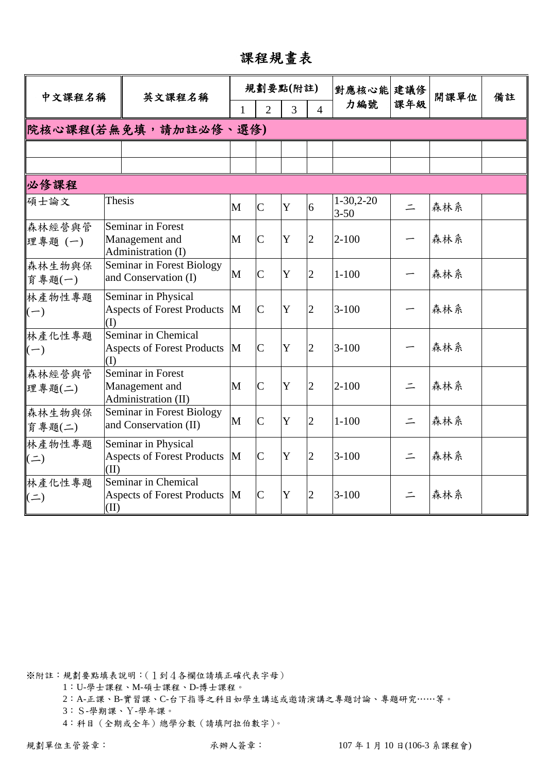課程規畫表

| 中文課程名稱               |        | 英文課程名稱                                                            |   | 規劃要點(附註)       |             |                | 對應核心能 建議修               |          | 開課單位 | 備註 |
|----------------------|--------|-------------------------------------------------------------------|---|----------------|-------------|----------------|-------------------------|----------|------|----|
|                      |        |                                                                   | 1 | $\overline{2}$ | 3           | $\overline{4}$ | 力編號                     | 課年級      |      |    |
|                      |        | 院核心課程(若無免填,請加註必修、選修)                                              |   |                |             |                |                         |          |      |    |
|                      |        |                                                                   |   |                |             |                |                         |          |      |    |
|                      |        |                                                                   |   |                |             |                |                         |          |      |    |
| 必修課程                 |        |                                                                   |   |                |             |                |                         |          |      |    |
| 碩士論文                 | Thesis |                                                                   | M | $\overline{C}$ | $\mathbf Y$ | 6              | $1-30,2-20$<br>$3 - 50$ | $\equiv$ | 森林系  |    |
| 森林經營與管<br>理專題(一)     |        | Seminar in Forest<br>Management and<br>Administration (I)         | M | $\overline{C}$ | $\mathbf Y$ | $\overline{2}$ | $2 - 100$               |          | 森林系  |    |
| 森林生物與保<br>育專題(一)     |        | Seminar in Forest Biology<br>and Conservation (I)                 | M | $\overline{C}$ | Y           | $\overline{2}$ | $1 - 100$               |          | 森林系  |    |
| 林產物性專題<br>$(-)$      | (I)    | Seminar in Physical<br><b>Aspects of Forest Products</b>          | M | $\mathbf C$    | Y           | $\overline{2}$ | $3 - 100$               |          | 森林系  |    |
| 林產化性專題<br>$(-)$      | (I)    | Seminar in Chemical<br><b>Aspects of Forest Products</b>          | M | $\overline{C}$ | Y           | $\overline{2}$ | $3 - 100$               |          | 森林系  |    |
| 森林經營與管<br>理專題(二)     |        | <b>Seminar in Forest</b><br>Management and<br>Administration (II) | M | $\overline{C}$ | Y           | $\overline{2}$ | $2 - 100$               | $\equiv$ | 森林系  |    |
| 森林生物與保<br>育專題(二)     |        | Seminar in Forest Biology<br>and Conservation (II)                | M | $\overline{C}$ | Y           | $\overline{2}$ | $1 - 100$               | $\equiv$ | 森林系  |    |
| 林產物性專題<br>$(\equiv)$ | (II)   | Seminar in Physical<br><b>Aspects of Forest Products</b>          | M | $\overline{C}$ | Y           | $\overline{2}$ | $3 - 100$               | $\equiv$ | 森林系  |    |
| 林產化性專題<br>$\equiv$   | (II)   | Seminar in Chemical<br><b>Aspects of Forest Products</b>          | M | $\mathsf{C}$   | Y           | 2              | $3 - 100$               |          | 森林系  |    |

1:U-學士課程、M-碩士課程、D-博士課程。

2:A-正課、B-實習課、C-台下指導之科目如學生講述或邀請演講之專題討論、專題研究……等。

3:S-學期課、Y-學年課。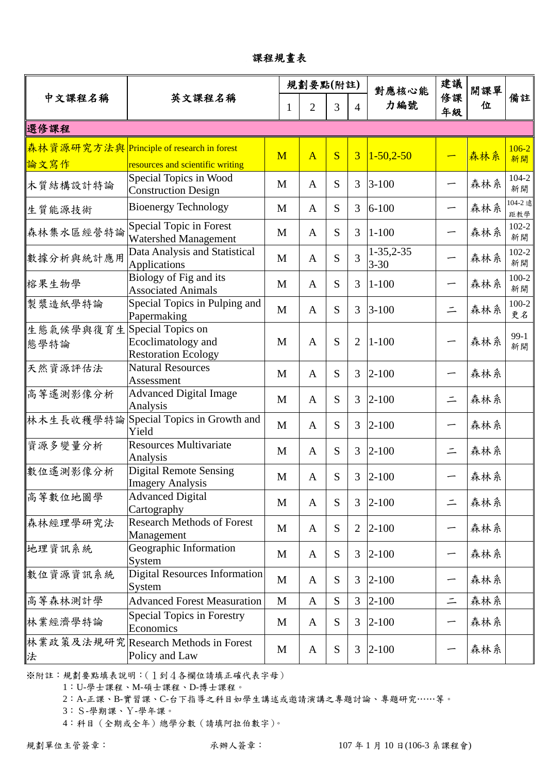課程規畫表

|                                     |                                                                                          |             | 規劃要點(附註)       |           |                | 對應核心能                        | 建議       | 開課單 |                 |
|-------------------------------------|------------------------------------------------------------------------------------------|-------------|----------------|-----------|----------------|------------------------------|----------|-----|-----------------|
| 中文課程名稱                              | 英文課程名稱                                                                                   | 1           | $\overline{2}$ |           | $\overline{4}$ | 力編號                          | 修課<br>年級 | 位   | 備註              |
| 選修課程                                |                                                                                          |             |                |           |                |                              |          |     |                 |
|                                     | 森林資源研究方法與 Principle of research in forest                                                | M           | $\overline{A}$ | S         | $\overline{3}$ | $1 - 50, 2 - 50$             |          | 森林系 | $106 - 2$<br>新開 |
| 論文寫作<br>木質結構設計特論                    | resources and scientific writing<br>Special Topics in Wood<br><b>Construction Design</b> | M           | $\mathbf{A}$   | S         | 3              | $3 - 100$                    |          | 森林系 | $104 - 2$<br>新開 |
| 生質能源技術                              | <b>Bioenergy Technology</b>                                                              | M           | $\mathbf{A}$   | S         | 3              | $6 - 100$                    |          | 森林系 | 104-2 遠<br>距教學  |
| 森林集水區經營特論                           | Special Topic in Forest<br>Watershed Management                                          | M           | $\mathbf{A}$   | S         | 3              | $1 - 100$                    |          | 森林系 | $102 - 2$<br>新開 |
| 數據分析與統計應用                           | Data Analysis and Statistical<br>Applications                                            | M           | $\mathbf{A}$   | S         | 3              | $1 - 35, 2 - 35$<br>$3 - 30$ |          | 森林系 | $102 - 2$<br>新開 |
| 榕果生物學                               | Biology of Fig and its<br><b>Associated Animals</b>                                      | M           | $\mathbf{A}$   | S         | 3              | $1 - 100$                    |          | 森林系 | $100-2$<br>新開   |
| 製漿造紙學特論                             | Special Topics in Pulping and<br>Papermaking                                             | M           | $\mathbf{A}$   | S         | 3              | $3 - 100$                    | $\equiv$ | 森林系 | $100-2$<br>更名   |
| 生態氣候學與復育生 Special Topics on<br>態學特論 | Ecoclimatology and<br><b>Restoration Ecology</b>                                         | M           | $\mathbf{A}$   | S         | $\overline{2}$ | $1 - 100$                    |          | 森林系 | $99-1$<br>新開    |
| 天然資源評估法                             | <b>Natural Resources</b><br>Assessment                                                   | M           | $\mathbf{A}$   | S         | 3              | $2 - 100$                    |          | 森林系 |                 |
| 高等遙測影像分析                            | <b>Advanced Digital Image</b><br>Analysis                                                | M           | $\mathbf{A}$   | S         | 3              | $2 - 100$                    | $\equiv$ | 森林系 |                 |
| 林木生長收穫學特論                           | Special Topics in Growth and<br>Yield                                                    | M           | $\mathbf{A}$   | S         | 3              | $2 - 100$                    |          | 森林系 |                 |
| 資源多變量分析                             | <b>Resources Multivariate</b><br>Analysis                                                | M           | $\mathbf{A}$   | S         | 3              | $2 - 100$                    | $\equiv$ | 森林系 |                 |
| 數位遙測影像分析                            | <b>Digital Remote Sensing</b><br><b>Imagery Analysis</b>                                 | M           | A              | S         | 3              | $2 - 100$                    |          | 森林系 |                 |
| 高等數位地圖學                             | <b>Advanced Digital</b><br>Cartography                                                   | M           | $\mathbf{A}$   | S         | 3              | $2 - 100$                    | $\equiv$ | 森林系 |                 |
| 森林經理學研究法                            | <b>Research Methods of Forest</b><br>Management                                          | M           | A              | S         | $\overline{2}$ | $2 - 100$                    |          | 森林系 |                 |
| 地理資訊系統                              | Geographic Information<br>System                                                         | M           | A              | S         | 3              | $2 - 100$                    | -        | 森林系 |                 |
| 數位資源資訊系統                            | <b>Digital Resources Information</b><br>System                                           | M           | $\mathbf{A}$   | S         | 3              | $2 - 100$                    |          | 森林系 |                 |
| 高等森林測計學                             | <b>Advanced Forest Measuration</b>                                                       | $\mathbf M$ | $\mathbf{A}$   | S         | 3              | $2 - 100$                    | $\equiv$ | 森林系 |                 |
| 林業經濟學特論                             | Special Topics in Forestry<br>Economics                                                  | M           | A              | S         | 3              | $2 - 100$                    | -        | 森林系 |                 |
| 法                                   | 林業政策及法規研究  Research Methods in Forest<br>Policy and Law                                  | M           | A              | ${\bf S}$ | 3              | $2 - 100$                    |          | 森林系 |                 |

1:U-學士課程、M-碩士課程、D-博士課程。

2:A-正課、B-實習課、C-台下指導之科目如學生講述或邀請演講之專題討論、專題研究……等。

3:S-學期課、Y-學年課。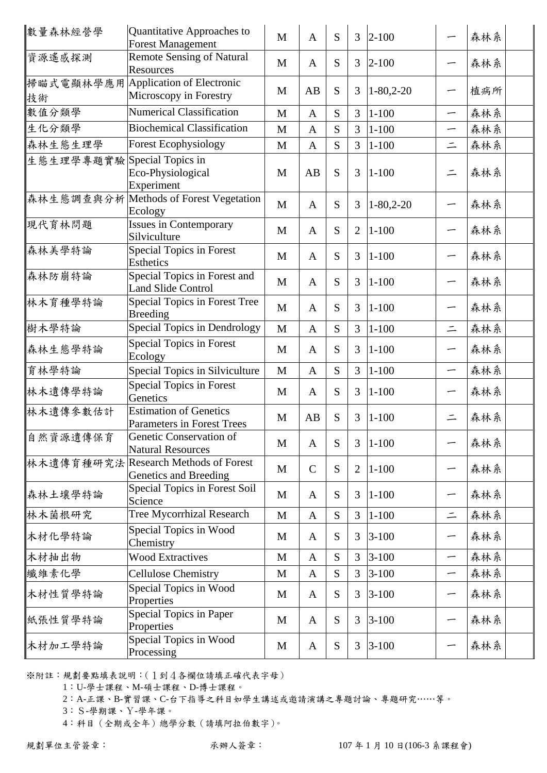| 數量森林經營學                     | Quantitative Approaches to<br><b>Forest Management</b>        | M            | $\mathbf{A}$ | S | $\mathfrak{Z}$ | $ 2 - 100$       |          | 森林系 |
|-----------------------------|---------------------------------------------------------------|--------------|--------------|---|----------------|------------------|----------|-----|
| 資源遙感探測                      | <b>Remote Sensing of Natural</b><br><b>Resources</b>          | M            | $\mathbf{A}$ | S | 3              | $ 2 - 100$       |          | 森林系 |
| 技術                          | 掃瞄式電顯林學應用 Application of Electronic<br>Microscopy in Forestry | M            | AB           | S | 3              | $1-80,2-20$      | —        | 植病所 |
| 數值分類學                       | <b>Numerical Classification</b>                               | M            | $\mathbf{A}$ | S | 3              | $1 - 100$        | —        | 森林系 |
| 生化分類學                       | <b>Biochemical Classification</b>                             | M            | $\mathbf{A}$ | S | 3              | $1 - 100$        | —        | 森林系 |
| 森林生態生理學                     | <b>Forest Ecophysiology</b>                                   | M            | $\mathbf{A}$ | S | 3              | $1 - 100$        | $\equiv$ | 森林系 |
| 生態生理學專題實驗 Special Topics in | Eco-Physiological<br>Experiment                               | M            | AB           | S | 3              | $1 - 100$        | $\equiv$ | 森林系 |
|                             | 森林生態調查與分析 Methods of Forest Vegetation<br>Ecology             | M            | $\mathbf{A}$ | S | 3              | $1 - 80, 2 - 20$ |          | 森林系 |
| 現代育林問題                      | Issues in Contemporary<br>Silviculture                        | M            | $\mathbf{A}$ | S | $\overline{2}$ | $1 - 100$        |          | 森林系 |
| 森林美學特論                      | Special Topics in Forest<br><b>Esthetics</b>                  | M            | $\mathbf{A}$ | S | 3              | $1 - 100$        | —        | 森林系 |
| 森林防崩特論                      | Special Topics in Forest and<br><b>Land Slide Control</b>     | M            | $\mathbf{A}$ | S | 3              | $1 - 100$        |          | 森林系 |
| 林木育種學特論                     | Special Topics in Forest Tree<br><b>Breeding</b>              | M            | $\mathbf{A}$ | S | 3              | $1 - 100$        | ∽        | 森林系 |
| 樹木學特論                       | Special Topics in Dendrology                                  | M            | $\mathbf{A}$ | S | 3              | $1 - 100$        | $\equiv$ | 森林系 |
| 森林生態學特論                     | Special Topics in Forest<br>Ecology                           | M            | $\mathbf{A}$ | S | 3              | $1 - 100$        | —        | 森林系 |
| 育林學特論                       | Special Topics in Silviculture                                | M            | $\mathbf{A}$ | S | 3              | $1 - 100$        | —        | 森林系 |
| 林木遺傳學特論                     | <b>Special Topics in Forest</b><br>Genetics                   | M            | $\mathbf{A}$ | S | 3              | $ 1 - 100$       |          | 森林系 |
| 林木遺傳參數估計                    | <b>Estimation of Genetics</b><br>Parameters in Forest Trees   | M            | AB           | S | 3              | $1 - 100$        | $\equiv$ | 森林系 |
| 自然資源遺傳保育                    | Genetic Conservation of<br><b>Natural Resources</b>           | M            | $\mathbf{A}$ | S | 3              | $1 - 100$        | —        | 森林系 |
|                             | 林木遺傳育種研究法 Research Methods of Forest<br>Genetics and Breeding | M            | $\mathsf{C}$ | S | 2              | $ 1 - 100$       | ∽        | 森林系 |
| 森林土壤學特論                     | Special Topics in Forest Soil<br>Science                      | M            | $\mathbf{A}$ | S | 3              | $1 - 100$        | —        | 森林系 |
| 林木菌根研究                      | <b>Tree Mycorrhizal Research</b>                              | M            | $\mathbf{A}$ | S | 3              | $1 - 100$        | $\equiv$ | 森林系 |
| 木材化學特論                      | Special Topics in Wood<br>Chemistry                           | M            | $\mathbf{A}$ | S | 3              | $3 - 100$        | —        | 森林系 |
| 木材抽出物                       | <b>Wood Extractives</b>                                       | $\mathbf{M}$ | $\mathbf{A}$ | S | 3              | $3 - 100$        | —        | 森林系 |
| 纖維素化學                       | <b>Cellulose Chemistry</b>                                    | $\mathbf M$  | $\mathbf{A}$ | S | 3              | $3 - 100$        | —        | 森林系 |
| 木材性質學特論                     | Special Topics in Wood<br>Properties                          | M            | $\mathbf{A}$ | S | 3              | $3 - 100$        | —        | 森林系 |
| 紙張性質學特論                     | Special Topics in Paper<br>Properties                         | M            | $\mathbf{A}$ | S | 3              | $3 - 100$        | —        | 森林系 |
| 木材加工學特論                     | Special Topics in Wood<br>Processing                          | M            | $\mathbf{A}$ | S | 3              | $3 - 100$        |          | 森林系 |

2:A-正課、B-實習課、C-台下指導之科目如學生講述或邀請演講之專題討論、專題研究……等。

3:S-學期課、Y-學年課。

 <sup>1</sup>:U-學士課程、M-碩士課程、D-博士課程。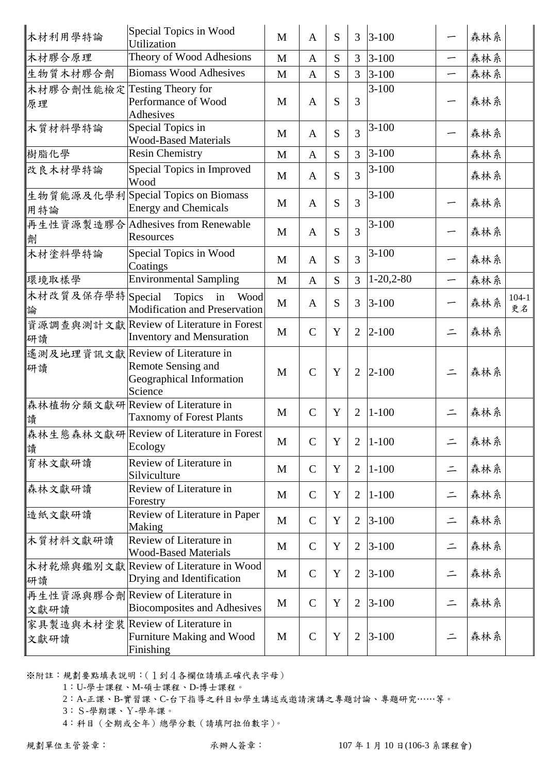| 木材利用學特論                            | Special Topics in Wood<br>Utilization                                                          | M           | $\mathbf{A}$  | S           | 3              | $3 - 100$   |                          | 森林系 |                 |
|------------------------------------|------------------------------------------------------------------------------------------------|-------------|---------------|-------------|----------------|-------------|--------------------------|-----|-----------------|
| 木材膠合原理                             | Theory of Wood Adhesions                                                                       | M           | $\mathbf{A}$  | S           | $\overline{3}$ | $3 - 100$   | $\overline{\phantom{m}}$ | 森林系 |                 |
| 生物質木材膠合劑                           | <b>Biomass Wood Adhesives</b>                                                                  | M           | $\mathbf{A}$  | S           | 3              | $3 - 100$   | —                        | 森林系 |                 |
| 木材膠合劑性能檢定 Testing Theory for<br>原理 | Performance of Wood<br>Adhesives                                                               | M           | $\mathbf{A}$  | S           | 3              | $3 - 100$   |                          | 森林系 |                 |
| 木質材料學特論                            | Special Topics in<br><b>Wood-Based Materials</b>                                               | M           | $\mathbf{A}$  | S           | 3              | $3 - 100$   |                          | 森林系 |                 |
| 樹脂化學                               | <b>Resin Chemistry</b>                                                                         | M           | $\mathbf{A}$  | S           | $\overline{3}$ | $3 - 100$   |                          | 森林系 |                 |
| 改良木材學特論                            | Special Topics in Improved<br>Wood                                                             | M           | $\mathbf{A}$  | S           | 3              | $3 - 100$   |                          | 森林系 |                 |
| 用特論                                | 生物質能源及化學利Special Topics on Biomass<br><b>Energy and Chemicals</b>                              | M           | $\mathbf{A}$  | S           | 3              | $3 - 100$   | —                        | 森林系 |                 |
| 劑                                  | 再生性資源製造膠合 Adhesives from Renewable<br>Resources                                                | M           | $\mathbf{A}$  | S           | 3              | $3 - 100$   |                          | 森林系 |                 |
| 木材塗料學特論                            | Special Topics in Wood<br>Coatings                                                             | M           | $\mathbf{A}$  | S           | 3              | $3 - 100$   |                          | 森林系 |                 |
| 環境取樣學                              | <b>Environmental Sampling</b>                                                                  | M           | $\mathbf{A}$  | S           | $\overline{3}$ | $1-20,2-80$ | —                        | 森林系 |                 |
| 木材改質及保存學特 Special<br>論             | Topics in<br>Wood<br>Modification and Preservation                                             | M           | $\mathbf{A}$  | S           | $\overline{3}$ | $3 - 100$   |                          | 森林系 | $104 - 1$<br>更名 |
| 研讀                                 | 資源調查與測計文獻 Review of Literature in Forest<br><b>Inventory and Mensuration</b>                   | M           | $\mathcal{C}$ | Y           | $\overline{2}$ | $2 - 100$   | $\equiv$                 | 森林系 |                 |
| 研讀                                 | 遙測及地理資訊文獻 Review of Literature in<br>Remote Sensing and<br>Geographical Information<br>Science | M           | $\mathcal{C}$ | Y           | $\overline{2}$ | $2 - 100$   | $\equiv$                 | 森林系 |                 |
| 讀                                  | 森林植物分類文獻研 Review of Literature in<br><b>Taxnomy of Forest Plants</b>                           | M           | $\mathbf C$   | Y           | $\overline{2}$ | $1 - 100$   | $\equiv$                 | 森林系 |                 |
| 讀                                  | 森林生態森林文獻研Review of Literature in Forest<br>Ecology                                             | M           | $\mathbf C$   | Y           | $\overline{2}$ | $1 - 100$   | $\equiv$                 | 森林系 |                 |
| 育林文獻研讀                             | Review of Literature in<br>Silviculture                                                        | M           | $\mathbf C$   | Y           | $\overline{2}$ | $1 - 100$   | $\equiv$                 | 森林系 |                 |
| 森林文獻研讀                             | Review of Literature in<br>Forestry                                                            | M           | $\mathsf{C}$  | Y           | $\overline{2}$ | $1 - 100$   | $\equiv$                 | 森林系 |                 |
| 造紙文獻研讀                             | Review of Literature in Paper<br>Making                                                        | $\mathbf M$ | $\mathbf C$   | Y           | $\overline{2}$ | $3 - 100$   | $\equiv$                 | 森林系 |                 |
| 木質材料文獻研讀                           | Review of Literature in<br><b>Wood-Based Materials</b>                                         | M           | $\mathsf{C}$  | Y           | $\overline{2}$ | $3 - 100$   | $\equiv$                 | 森林系 |                 |
| 研讀                                 | 木材乾燥與鑑別文獻 Review of Literature in Wood<br>Drying and Identification                            | M           | $\mathbf C$   | Y           | $\overline{2}$ | $3 - 100$   | $\equiv$                 | 森林系 |                 |
| 文獻研讀                               | 再生性資源與膠合劑 Review of Literature in<br><b>Biocomposites and Adhesives</b>                        | M           | $\mathsf{C}$  | $\mathbf Y$ | $\overline{2}$ | $3 - 100$   | $\equiv$                 | 森林系 |                 |
| 文獻研讀                               | 家具製造與木材塗裝 Review of Literature in<br>Furniture Making and Wood<br>Finishing                    | M           | $\mathcal{C}$ | Y           | $\overline{2}$ | $3 - 100$   | $\equiv$                 | 森林系 |                 |

1:U-學士課程、M-碩士課程、D-博士課程。

2:A-正課、B-實習課、C-台下指導之科目如學生講述或邀請演講之專題討論、專題研究……等。

3:S-學期課、Y-學年課。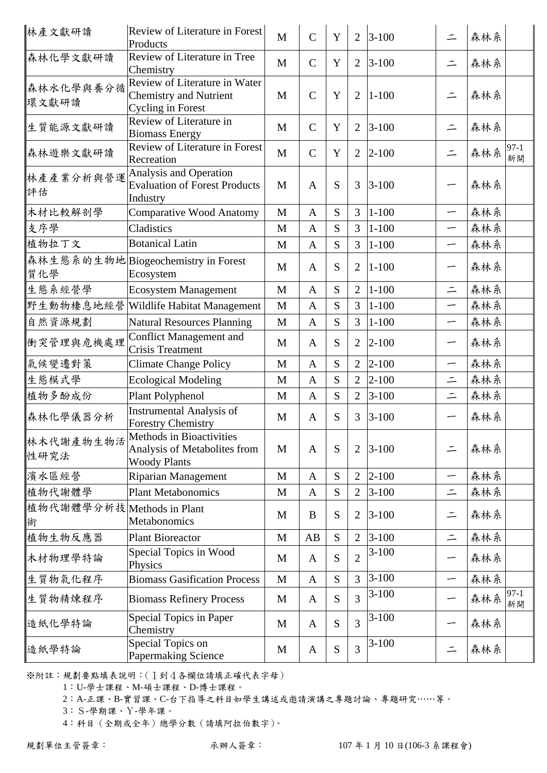| 林產文獻研讀                          | <b>Review of Literature in Forest</b><br>Products                                          | M            | $\mathcal{C}$ | Y | $\overline{2}$ | $3 - 100$ | $\equiv$                 | 森林系                   |
|---------------------------------|--------------------------------------------------------------------------------------------|--------------|---------------|---|----------------|-----------|--------------------------|-----------------------|
| 森林化學文獻研讀                        | Review of Literature in Tree<br>Chemistry                                                  | M            | $\mathcal{C}$ | Y | $\overline{2}$ | $3 - 100$ | $\equiv$                 | 森林系                   |
| 森林水化學與養分循<br>環文獻研讀              | Review of Literature in Water<br><b>Chemistry and Nutrient</b><br><b>Cycling in Forest</b> | M            | $\mathcal{C}$ | Y | $\overline{2}$ | $1 - 100$ | $\equiv$                 | 森林系                   |
| 生質能源文獻研讀                        | Review of Literature in<br><b>Biomass Energy</b>                                           | M            | $\mathcal{C}$ | Y | $\overline{2}$ | $3 - 100$ | $\equiv$                 | 森林系                   |
| 森林遊樂文獻研讀                        | Review of Literature in Forest<br>Recreation                                               | $\mathbf{M}$ | $\mathcal{C}$ | Y | $\overline{2}$ | $2 - 100$ | $\equiv$                 | $97 - 1$<br>森林系<br>新開 |
| 林產產業分析與營運<br>評估                 | Analysis and Operation<br><b>Evaluation of Forest Products</b><br>Industry                 | M            | $\mathbf{A}$  | S | 3              | $3 - 100$ | -                        | 森林系                   |
| 木材比較解剖學                         | <b>Comparative Wood Anatomy</b>                                                            | M            | $\mathbf{A}$  | S | 3              | $1 - 100$ | —                        | 森林系                   |
| 支序學                             | Cladistics                                                                                 | M            | $\mathbf{A}$  | S | 3              | $1 - 100$ |                          | 森林系                   |
| 植物拉丁文                           | <b>Botanical Latin</b>                                                                     | M            | $\mathbf{A}$  | S | 3              | $1 - 100$ | —                        | 森林系                   |
| 質化學                             | 森林生態系的生物地 Biogeochemistry in Forest<br>Ecosystem                                           | M            | $\mathbf{A}$  | S | $\overline{2}$ | $1 - 100$ | $\overline{\phantom{0}}$ | 森林系                   |
| 生態系經營學                          | <b>Ecosystem Management</b>                                                                | M            | $\mathbf{A}$  | S | $\overline{2}$ | $1 - 100$ | $\equiv$                 | 森林系                   |
| 野生動物棲息地經營                       | Wildlife Habitat Management                                                                | M            | $\mathbf{A}$  | S | 3              | $1 - 100$ | $\overline{\phantom{0}}$ | 森林系                   |
| 自然資源規劃                          | <b>Natural Resources Planning</b>                                                          | M            | $\mathbf{A}$  | S | 3              | $1 - 100$ | —                        | 森林系                   |
| 衝突管理與危機處理                       | <b>Conflict Management and</b><br><b>Crisis Treatment</b>                                  | M            | $\mathbf{A}$  | S | $\overline{2}$ | $2 - 100$ | —                        | 森林系                   |
| 氣候變遷對策                          | <b>Climate Change Policy</b>                                                               | M            | $\mathbf{A}$  | S | $\overline{2}$ | $2 - 100$ | —                        | 森林系                   |
| 生態模式學                           | <b>Ecological Modeling</b>                                                                 | M            | $\mathbf{A}$  | S | $\overline{2}$ | $2 - 100$ | $\equiv$                 | 森林系                   |
| 植物多酚成份                          | Plant Polyphenol                                                                           | $\mathbf M$  | $\mathbf{A}$  | S | $\overline{2}$ | $3 - 100$ | $\equiv$                 | 森林系                   |
| 森林化學儀器分析                        | <b>Instrumental Analysis of</b><br><b>Forestry Chemistry</b>                               | M            | $\mathbf{A}$  | S | 3              | $3 - 100$ | —                        | 森林系                   |
| 林木代謝產物生物活<br>性研究法               | Methods in Bioactivities<br>Analysis of Metabolites from<br><b>Woody Plants</b>            | M            | $\mathbf{A}$  | S | $\overline{2}$ | $3 - 100$ | $\equiv$                 | 森林系                   |
| 濱水區經營                           | <b>Riparian Management</b>                                                                 | M            | A             | S | $\overline{2}$ | $2 - 100$ | —                        | 森林系                   |
| 植物代謝體學                          | <b>Plant Metabonomics</b>                                                                  | M            | $\mathbf{A}$  | S | $\overline{2}$ | $3 - 100$ | $\equiv$                 | 森林系                   |
| 植物代謝體學分析技 Methods in Plant<br>術 | <b>Metabonomics</b>                                                                        | M            | B             | S | $\overline{2}$ | $3 - 100$ | $\equiv$                 | 森林系                   |
| 植物生物反應器                         | <b>Plant Bioreactor</b>                                                                    | M            | AB            | S | $\overline{2}$ | $3 - 100$ | $\equiv$                 | 森林系                   |
| 木材物理學特論                         | Special Topics in Wood<br>Physics                                                          | M            | $\mathbf{A}$  | S | $\overline{2}$ | $3 - 100$ | $\overline{\phantom{0}}$ | 森林系                   |
| 生質物氣化程序                         | <b>Biomass Gasification Process</b>                                                        | M            | $\mathbf{A}$  | S | 3              | $3 - 100$ | -                        | 森林系                   |
| 生質物精煉程序                         | <b>Biomass Refinery Process</b>                                                            | M            | A             | S | 3              | $3 - 100$ | —                        | $97-1$<br>森林系<br>新開   |
| 造紙化學特論                          | Special Topics in Paper<br>Chemistry                                                       | M            | $\mathbf{A}$  | S | $\overline{3}$ | $3 - 100$ |                          | 森林系                   |
| 造紙學特論                           | Special Topics on<br>Papermaking Science                                                   | M            | $\mathbf{A}$  | S | 3              | $3-100$   | $\equiv$                 | 森林系                   |

1:U-學士課程、M-碩士課程、D-博士課程。

2:A-正課、B-實習課、C-台下指導之科目如學生講述或邀請演講之專題討論、專題研究……等。

3:S-學期課、Y-學年課。